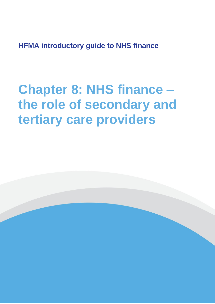**HFMA introductory guide to NHS finance**

# **Chapter 8: NHS finance – the role of secondary and tertiary care providers**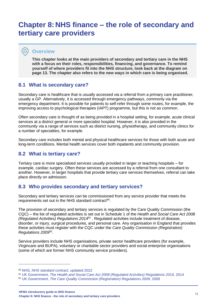## **Chapter 8: NHS finance – the role of secondary and tertiary care providers**

## **Overview**

O

**This chapter looks at the main providers of secondary and tertiary care in the NHS with a focus on their roles, responsibilities, financing, and governance. To remind yourself of where providers fit into the NHS structure, look back at the diagram on page 13. The chapter also refers to the new ways in which care is being organised.**

## **8.1 What is secondary care?**

Secondary care is healthcare that is usually accessed via a referral from a primary care practitioner, usually a GP. Alternatively, it is accessed through emergency pathways, commonly via the emergency department. It is possible for patients to self-refer through some routes, for example, the improving access to psychological therapies (IAPT) programme, but this is not as common.

Often secondary care is thought of as being provided in a hospital setting, for example, acute clinical services at a district general or more specialist hospital. However, it is also provided in the community via a range of services such as district nursing, physiotherapy, and community clinics for a number of specialties, for example.

Secondary care includes both mental and physical healthcare services for those with both acute and long-term conditions. Mental health services cover both inpatients and community provision.

## **8.2 What is tertiary care?**

Tertiary care is more specialised services usually provided in larger or teaching hospitals – for example, cardiac surgery. Often these services are accessed by a referral from one consultant to another. However, in larger hospitals that provide tertiary care services themselves, referral can take place directly on admission.

## **8.3 Who provides secondary and tertiary services?**

Secondary and tertiary services can be commissioned from any service provider that meets the requirements set out in the NHS standard contract<sup>90</sup>.

The provision of secondary and tertiary services is regulated by the Care Quality Commission (the CQC) – the list of regulated activities is set out in Schedule 1 of the *Health and Social Care Act 2008 (Regulated Activities) Regulations 2014*<sup>91</sup> . Regulated activities include treatment of disease, disorder, or injury, surgical procedures, and personal care. Any organisation in England that provides these activities must register with the CQC under the *Care Quality Commission (Registration) Regulations 2009*<sup>92</sup> .

Service providers include NHS organisations, private sector healthcare providers (for example, Virgincare and BUPA), voluntary or charitable sector providers and social enterprise organisations (some of which are former NHS community service providers).

**HFMA introductory guide to NHS finance Chapter 8: NHS finance - the role of secondary and tertiary care providers** <sup>71</sup>

<sup>90</sup> NHS, *[NHS standard contract](https://www.england.nhs.uk/nhs-standard-contract/)*, updated 2022

<sup>91</sup> UK Government, *[The Health and Social Care Act 2008 \(Regulated Activities\)](https://www.legislation.gov.uk/uksi/2014/2936/contents/made) Regulations 2014,* 2014

<sup>92</sup> UK Government, *[The Care Quality Commission \(Registration\) Regulations 2009,](https://www.legislation.gov.uk/uksi/2009/3112/contents/made)* 2009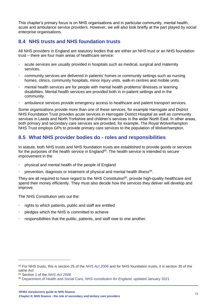This chapter's primary focus is on NHS organisations and in particular community, mental health, acute and ambulance service providers. However, we will also look briefly at the part played by social enterprise organisations.

## **8.4 NHS trusts and NHS foundation trusts**

All NHS providers in England are statutory bodies that are either an NHS trust or an NHS foundation trust – there are four main areas of healthcare service:

- acute services are usually provided in hospitals such as medical, surgical and maternity services.
- community services are delivered in patients' homes or community settings such as nursing homes, clinics, community hospitals, minor injury units, walk-in centres and mobile units.
- mental health services are for people with mental health problems/ illnesses or learning disabilities. Mental health services are provided both in in-patient settings and in the community.
- ambulance services provide emergency access to healthcare and patient transport services.

Some organisations provide more than one of these services, for example Harrogate and District NHS Foundation Trust provides acute services in Harrogate District Hospital as well as community services in Leeds and North Yorkshire and children's services in the wider North East. In other areas, both primary and secondary care services are provided, for example, The Royal Wolverhampton NHS Trust employs GPs to provide primary care services to the population of Wolverhampton.

## **8.5 What NHS provider bodies do - roles and responsibilities**

In statute, both NHS trusts and NHS foundation trusts are established to provide goods or services for the purposes of the health service in England<sup>93</sup>. The health service is intended to secure improvement in the

- physical and mental health of the people of England
- prevention, diagnosis or treatment of physical and mental health illness $94$ .

They are all required to have regard to the NHS Constitution<sup>95</sup>, provide high-quality healthcare and spend their money efficiently. They must also decide how the services they deliver will develop and improve.

The NHS Constitution sets out the:

- rights to which patients, public and staff are entitled
- pledges which the NHS is committed to achieve
- responsibilities that the public, patients, and staff owe to one another.

<sup>94</sup> Section 1 of the *[NHS Act 2006](https://www.legislation.gov.uk/ukpga/2006/41/contents)*

<sup>93</sup> For NHS trusts, this is section 25 of the *[NHS Act 2006](https://www.legislation.gov.uk/ukpga/2006/41/contents)* and for NHS foundation trusts, it is section 30 of the same Act

<sup>95</sup> [Department of Health and Social Care,](https://www.gov.uk/government/publications/the-nhs-constitution-for-england) *NHS constitution for England*, updated January 2021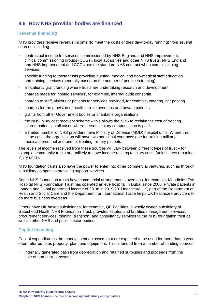## **8.6 How NHS provider bodies are financed**

#### **Revenue financing**

NHS providers receive revenue income (to meet the costs of their day-to-day running) from several sources including:

- contractual income for services commissioned by NHS England and NHS Improvement, clinical commissioning groups (CCGs), local authorities and other NHS trusts. NHS England and NHS Improvement and CCGs use the standard NHS contract when commissioning services.
- specific funding to those trusts providing nursing, medical and non-medical staff education and training services (generally based on the number of people in training).
- allocations/ grant funding where trusts are undertaking research and development.
- charges made for 'hosted services', for example, internal audit consortia.
- charges to staff, visitors or patients for services provided, for example, catering, car parking.
- charges for the provision of healthcare to overseas and private patients
- grants from other Government bodies or charitable organisations.
- the NHS injury cost recovery scheme this allows the NHS to reclaim the cost of treating injured patients in all cases where personal injury compensation is paid.
- a limited number of NHS providers have Ministry of Defence (MOD) hospital units. Where this is the case, the organisation will have two additional contracts: one for training military medical personnel and one for treating military patients.

The levels of income received from these sources will vary between different types of trust – for example, community trusts are unlikely to have income relating to injury costs (unless they run minor injury units).

NHS foundation trusts also have the power to enter into other commercial ventures, such as through subsidiary companies providing support services.

Some NHS foundation trusts have commercial arrangements overseas, for example, Moorfields Eye Hospital NHS Foundation Trust has operated an eye hospital in Dubai since 2006. Private patients in London and Dubai generated income of £31m in 2019/20. Healthcare UK, part of the Department of Health and Social Care and the Department for International Trade helps UK healthcare providers to do more business overseas.

Others have UK based subsidiaries, for example, QE Facilities, a wholly owned subsidiary of Gateshead Health NHS Foundation Trust, provides estates and facilities management services, procurement services, training, transport, and consultancy services to the NHS foundation trust as well as other NHS and public sector bodies.

### **Capital financing**

Capital expenditure is the money spent on assets that are expected to be used for more than a year, often referred to as property, plant and equipment. This is funded from a number of funding sources:

• internally generated cash from depreciation and retained surpluses and proceeds from the sale of non-current assets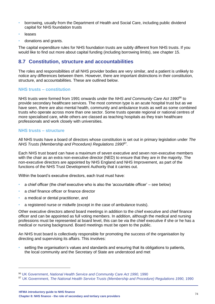- borrowing, usually from the Department of Health and Social Care, including public dividend capital for NHS foundation trusts
- leases
- donations and grants.

The capital expenditure rules for NHS foundation trusts are subtly different from NHS trusts. If you would like to find out more about capital funding (including borrowing limits), see chapter 15.

## **8.7 Constitution, structure and accountabilities**

The roles and responsibilities of all NHS provider bodies are very similar, and a patient is unlikely to notice any differences between them. However, there are important distinctions in their constitution, structure, and accountabilities. These are outlined below.

#### **NHS trusts – constitution**

NHS trusts were formed from 1991 onwards under the *NHS and Community Care Act 1990*<sup>96</sup> to provide secondary healthcare services. The most common type is an acute hospital trust but as we have seen, there are also mental health, community and ambulance trusts as well as some combined trusts who operate across more than one sector. Some trusts operate regional or national centres of more specialised care, while others are classed as teaching hospitals as they train healthcare professionals and work closely with universities.

#### **NHS trusts – structure**

All NHS trusts have a board of directors whose constitution is set out in primary legislation under *The NHS Trusts (Membership and Procedure) Regulations 1990*<sup>97</sup> .

Each NHS trust board can have a maximum of seven executive and seven non-executive members with the chair as an extra non-executive director (NED) to ensure that they are in the majority. The non-executive directors are appointed by NHS England and NHS Improvement, as part of the functions of the NHS Trust Development Authority that it carries out.

Within the board's executive directors, each trust must have:

- a chief officer (the chief executive who is also the 'accountable officer' see below)
- a chief finance officer or finance director
- a medical or dental practitioner, and
- a registered nurse or midwife (except in the case of ambulance trusts).

Other executive directors attend board meetings in addition to the chief executive and chief finance officer and can be appointed as full voting members. In addition, although the medical and nursing professions must be represented at board level, this can be via the chief executive if she or he has a medical or nursing background. Board meetings must be open to the public.

An NHS trust board is collectively responsible for promoting the success of the organisation by directing and supervising its affairs. This involves:

• setting the organisation's values and standards and ensuring that its obligations to patients, the local community and the Secretary of State are understood and met

<sup>96</sup> UK Government, *[National Health Service and Community Care Act](https://www.legislation.gov.uk/ukpga/1990/19/contents) 1990,* 1990

<sup>97</sup> UK Government, *The National Health Service [Trusts \(Membership and Procedure\) Regulations 1990,](https://www.legislation.gov.uk/uksi/1990/2024/contents/made)* 1990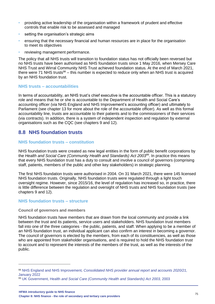- providing active leadership of the organisation within a framework of prudent and effective controls that enable risk to be assessed and managed
- setting the organisation's strategic aims
- ensuring that the necessary financial and human resources are in place for the organisation to meet its objectives
- reviewing management performance.

The policy that all NHS trusts will transition to foundation status has not officially been reversed but no NHS trusts have been authorised as NHS foundation trusts since 1 May 2016, when Mersey Care NHS Trust and Wirral Community NHS Trust achieved foundation status. At the end of March 2021, there were 71 NHS trusts<sup>98</sup> – this number is expected to reduce only when an NHS trust is acquired by an NHS foundation trust.

#### **NHS trusts – accountabilities**

In terms of accountability, an NHS trust's chief executive is the accountable officer. This is a statutory role and means that he or she is accountable to the Department of Health and Social Care's accounting officer (via NHS England and NHS Improvement's accounting officer) and ultimately to Parliament (see chapter 13 for more about the role of the accountable officer). As well as this formal accountability line, trusts are accountable to their patients and to the commissioners of their services (via contracts). In addition, there is a system of independent inspection and regulation by external organisations such as the CQC (see chapters 9 and 12).

## **8.8 NHS foundation trusts**

#### **NHS foundation trusts – constitution**

NHS foundation trusts were created as new legal entities in the form of public benefit corporations by the *Health and Social Care (Community Health and Standards) Act 2003*<sup>99</sup>. In practice this means that every NHS foundation trust has a duty to consult and involve a council of governors (comprising staff, patients, members of the public and other key stakeholders) in strategic planning.

The first NHS foundation trusts were authorised in 2004. On 31 March 2021, there were 145 licensed NHS foundation trusts. Originally, NHS foundation trusts were regulated through a light touch oversight regime. However, since 2015/16, the level of regulation has increased so, in practice, there is little difference between the regulation and oversight of NHS trusts and NHS foundation trusts (see chapters 9 and 12).

#### **NHS foundation trusts – structure**

#### **Council of governors and members**

NHS foundation trusts have members that are drawn from the local community and provide a link between the trust and its patients, service users and stakeholders. NHS foundation trust members fall into one of the three categories - the public, patients, and staff. When applying to be a member of an NHS foundation trust, an individual applicant can also confirm an interest in becoming a governor. The council of governors is elected by the members, from each of its constituencies, as well as those who are appointed from stakeholder organisations, and is required to hold the NHS foundation trust to account and to represent the interests of the members of the trust, as well as the interests of the public.

<sup>98</sup> NHS England and NHS Improvement*[, Consolidated NHS provider annual report and accounts 2020/21,](https://www.england.nhs.uk/wp-content/uploads/2022/02/Consolidated-NHS-provider-accounts-2020-21.pdf?msclkid=a84f7f2cc56c11ecbc4a515792d57557)*  [January 2022](https://www.england.nhs.uk/wp-content/uploads/2022/02/Consolidated-NHS-provider-accounts-2020-21.pdf?msclkid=a84f7f2cc56c11ecbc4a515792d57557)

<sup>99</sup> UK Government, Health *[and Social Care \(Community Health and Standards\) Act](https://www.legislation.gov.uk/ukpga/2003/43/contents) 2003,* 2003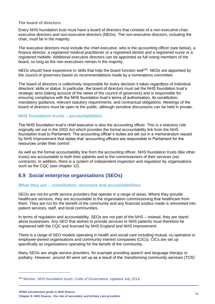#### **The board of directors**

Every NHS foundation trust must have a board of directors that consists of a non-executive chair, executive directors and non-executive directors (NEDs). The non-executive directors, including the chair, must be in the majority.

The executive directors must include the chief executive, who is the accounting officer (see below), a finance director, a registered medical practitioner or a registered dentist and a registered nurse or a registered midwife. Additional executive directors can be appointed as full voting members of the board, so long as the non-executives remain in the majority.

NEDs should have experience or skills that help the board function well<sup>100</sup>. NEDs are appointed by the council of governors based on recommendations made by a nominations committee.

The board of directors is collectively responsible for every decision it takes regardless of individual directors' skills or status. In particular, the board of directors must set the NHS foundation trust's strategic aims (taking account of the views of the council of governors) and is responsible for ensuring compliance with the NHS foundation trust's terms of authorisation, its constitution, mandatory guidance, relevant statutory requirements, and contractual obligations. Meetings of the board of directors must be open to the public, although sensitive discussions can be held in private.

#### **NHS foundation trusts – accountabilities**

The NHS foundation trust's chief executive is also the accounting officer. This is a statutory role originally set out in the 2003 Act which provides the formal accountability link from the NHS foundation trust to Parliament. The accounting officer's duties are set out in a memorandum issued by NHS Improvement that states that 'accounting officers are responsible to Parliament for the resources under their control'.

As well as the formal accountability line from the accounting officer, NHS foundation trusts (like other trusts) are accountable to both their patients and to the commissioners of their services (via contracts). In addition, there is a system of independent inspection and regulation by organisations such as the CQC (see chapter 12).

## **8.9 Social enterprise organisations (SEOs)**

#### **What they are – constitution, structure and accountabilities**

SEOs are not-for-profit service providers that operate in a range of areas. Where they provide healthcare services, they are accountable to the organisation commissioning that healthcare from them. They are run for the benefit of the community and any financial surplus made is reinvested into patient services, staff, and local communities.

In terms of regulation and accountability, SEOs are not part of the NHS – instead, they are standalone businesses. Any SEO that wishes to provide services to NHS patients must therefore be registered with the CQC and licensed by NHS England and NHS Improvement.

There is a range of SEO models operating in health and social care including mutual, co-operative or employee-owned organisations and community interest companies (CICs). CICs are set up specifically as organisations operating for the benefit of the community.

Many SEOs are single service providers, for example providing speech and language therapy or podiatry. However, around 40 were set up as a result of the 'transforming community services (TCS)'

<sup>100</sup> Monitor, *[NHS foundation trusts: Code of Governance,](https://www.gov.uk/government/publications/nhs-foundation-trusts-code-of-governance)* updated July 2014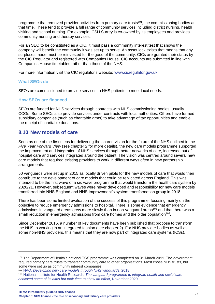programme that removed provider activities from primary care trusts<sup>101</sup>, the commissioning bodies at that time. These tend to provide a full range of community services including district nursing, health visiting and school nursing. For example, CSH Surrey is co-owned by its employees and provides community nursing and therapy services.

For an SEO to be constituted as a CIC, it must pass a community interest test that shows the company will benefit the community it was set up to serve. An asset lock exists that means that any surpluses made must be reinvested for the good of the community. CICs are granted their status by the CIC Regulator and registered with Companies House. CIC accounts are submitted in line with Companies House timetables rather than those of the NHS.

For more information visit the CIC regulator's website: [www.cicregulator.gov.uk](http://www.cicregulator.gov.uk/)

#### **What SEOs do**

SEOs are commissioned to provide services to NHS patients to meet local needs.

#### **How SEOs are financed**

SEOs are funded for NHS services through contracts with NHS commissioning bodies, usually CCGs. Some SEOs also provide services under contracts with local authorities. Others have formed subsidiary companies (such as charitable arms) to take advantage of tax opportunities and enable the receipt of charitable donations.

## **8.10 New models of care**

Seen as one of the first steps for delivering the shared vision for the future of the NHS outlined in the *Five Year Forward View* (see chapter 2 for more details), the new care models programme supported the improvement and integration of NHS services through better networks of care, increased out of hospital care and services integrated around the patient. The vision was centred around several new care models that required existing providers to work in different ways often in new partnership arrangements.

50 vanguards were set up in 2015 as locally driven pilots for the new models of care that would then contribute to the development of care models that could be replicated across England. This was intended to be the first wave of a six-wave programme that would transform the healthcare system by 2020/21. However, subsequent waves were never developed and responsibility for new care models transferred into NHS England and NHS Improvement's system transformation group in 2018.

There has been some limited evaluation of the success of this programme, focusing mainly on the objective to reduce emergency admissions to hospital. There is some evidence that emergency admissions in vanguard areas grew more slowly than in non-vanguard areas<sup>102</sup> and that there was a small reduction in emergency admissions from care homes and the older population<sup>103</sup>.

Since December 2015, a number of key documents have been published that propose to transform the NHS to working in an integrated fashion (see chapter 2). For NHS provider bodies as well as some non-NHS providers, this means that they are now part of integrated care systems (ICSs).

<sup>&</sup>lt;sup>101</sup> The Department of Health's national TCS programme was completed on 31 March 2011. The government required primary care trusts to transfer community care to other organisations. Most chose NHS trusts, but some were set up as community interest companies.

<sup>102</sup> NAO, *[Developing new care models through NHS vanguards](https://www.nao.org.uk/wp-content/uploads/2018/06/Developing-new-care-models-through-NHS-Vanguards.pdf)*, 2018

<sup>103</sup> National Institute for Health Research, *[The vanguard programme to integrate health and social care](https://evidence.nihr.ac.uk/alert/vanguard-integrated-health-social-care-took-time-to-achieve-aims/)  [achieved some of its aims but took time to show an effect](https://evidence.nihr.ac.uk/alert/vanguard-integrated-health-social-care-took-time-to-achieve-aims/)*, November 2020